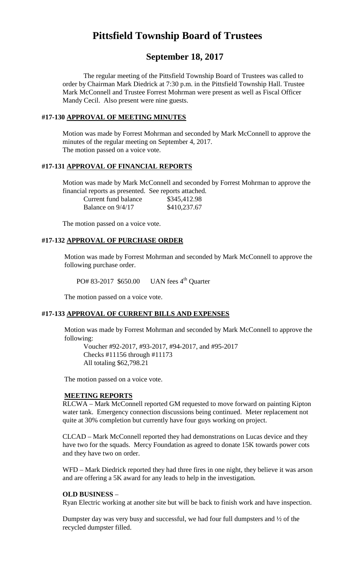# **Pittsfield Township Board of Trustees**

# **September 18, 2017**

The regular meeting of the Pittsfield Township Board of Trustees was called to order by Chairman Mark Diedrick at 7:30 p.m. in the Pittsfield Township Hall. Trustee Mark McConnell and Trustee Forrest Mohrman were present as well as Fiscal Officer Mandy Cecil. Also present were nine guests.

# **#17-130 APPROVAL OF MEETING MINUTES**

Motion was made by Forrest Mohrman and seconded by Mark McConnell to approve the minutes of the regular meeting on September 4, 2017. The motion passed on a voice vote.

# **#17-131 APPROVAL OF FINANCIAL REPORTS**

Motion was made by Mark McConnell and seconded by Forrest Mohrman to approve the financial reports as presented. See reports attached.

| Current fund balance | \$345,412.98 |
|----------------------|--------------|
| Balance on 9/4/17    | \$410,237.67 |

The motion passed on a voice vote.

# **#17-132 APPROVAL OF PURCHASE ORDER**

Motion was made by Forrest Mohrman and seconded by Mark McConnell to approve the following purchase order.

PO# 83-2017 \$650.00 UAN fees 4<sup>th</sup> Ouarter

The motion passed on a voice vote.

# **#17-133 APPROVAL OF CURRENT BILLS AND EXPENSES**

Motion was made by Forrest Mohrman and seconded by Mark McConnell to approve the following:

Voucher #92-2017, #93-2017, #94-2017, and #95-2017 Checks #11156 through #11173 All totaling \$62,798.21

The motion passed on a voice vote.

#### **MEETING REPORTS**

RLCWA – Mark McConnell reported GM requested to move forward on painting Kipton water tank. Emergency connection discussions being continued. Meter replacement not quite at 30% completion but currently have four guys working on project.

CLCAD – Mark McConnell reported they had demonstrations on Lucas device and they have two for the squads. Mercy Foundation as agreed to donate 15K towards power cots and they have two on order.

WFD – Mark Diedrick reported they had three fires in one night, they believe it was arson and are offering a 5K award for any leads to help in the investigation.

#### **OLD BUSINESS** –

Ryan Electric working at another site but will be back to finish work and have inspection.

Dumpster day was very busy and successful, we had four full dumpsters and ½ of the recycled dumpster filled.